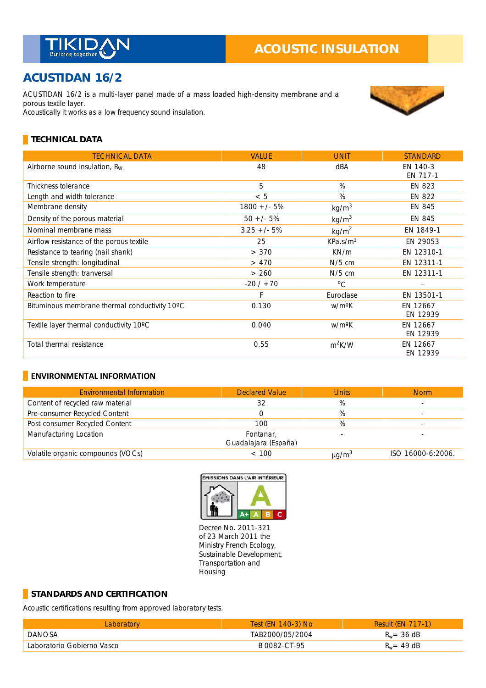

# **ACUSTIDAN 16/2**

ACUSTIDAN 16/2 is a multi-layer panel made of a mass loaded high-density membrane and a porous textile layer. Acoustically it works as a low frequency sound insulation.



### **TECHNICAL DATA**

| <b>TECHNICAL DATA</b>                         | <b>VALUE</b>  | <b>UNIT</b>          | <b>STANDARD</b>      |
|-----------------------------------------------|---------------|----------------------|----------------------|
| Airborne sound insulation, $R_W$              | 48            | dBA                  | EN 140-3<br>EN 717-1 |
| Thickness tolerance                           | 5             | $\%$                 | <b>EN 823</b>        |
| Length and width tolerance                    | < 5           | %                    | <b>EN 822</b>        |
| Membrane density                              | $1800 +/- 5%$ | kg/m <sup>3</sup>    | EN 845               |
| Density of the porous material                | $50 + (-5%)$  | kg/m <sup>3</sup>    | EN 845               |
| Nominal membrane mass                         | $3.25 +/- 5%$ | kg/m <sup>2</sup>    | EN 1849-1            |
| Airflow resistance of the porous textile      | 25            | KPa.s/m <sup>2</sup> | EN 29053             |
| Resistance to tearing (nail shank)            | > 370         | KN/m                 | EN 12310-1           |
| Tensile strength: longitudinal                | > 470         | $N/5$ cm             | EN 12311-1           |
| Tensile strength: tranversal                  | > 260         | $N/5$ cm             | EN 12311-1           |
| Work temperature                              | $-20/170$     | $^{\circ}C$          |                      |
| Reaction to fire                              | F             | Euroclase            | EN 13501-1           |
| Bituminous membrane thermal conductivity 10°C | 0.130         | w/m <sup>o</sup> K   | EN 12667<br>EN 12939 |
| Textile layer thermal conductivity 10°C       | 0.040         | w/m <sup>o</sup> K   | EN 12667<br>EN 12939 |
| Total thermal resistance                      | 0.55          | $m^2K/W$             | EN 12667<br>EN 12939 |

#### **ENVIRONMENTAL INFORMATION**

| <b>Environmental Information</b>  | <b>Declared Value</b>             | <b>Units</b>           | <b>Norm</b>       |
|-----------------------------------|-----------------------------------|------------------------|-------------------|
| Content of recycled raw material  | 32                                | %                      |                   |
| Pre-consumer Recycled Content     |                                   | %                      |                   |
| Post-consumer Recycled Content    | 100                               | %                      |                   |
| Manufacturing Location            | Fontanar,<br>Guadalajara (España) |                        |                   |
| Volatile organic compounds (VOCs) | < 100                             | $\mu$ g/m <sup>3</sup> | ISO 16000-6:2006. |



Decree No. 2011-321 of 23 March 2011 the Ministry French Ecology, Sustainable Development, Transportation and Housing

#### **STANDARDS AND CERTIFICATION**

Acoustic certifications resulting from approved laboratory tests.

| <b>Laboratory</b>          | Test (EN 140-3) No | <b>Result (EN 717-1)</b> |
|----------------------------|--------------------|--------------------------|
| <b>DANOSA</b>              | TAB2000/05/2004    | $R_w = 36$ dB            |
| Laboratorio Gobierno Vasco | B 0082-CT-95       | $R_w = 49$ dB            |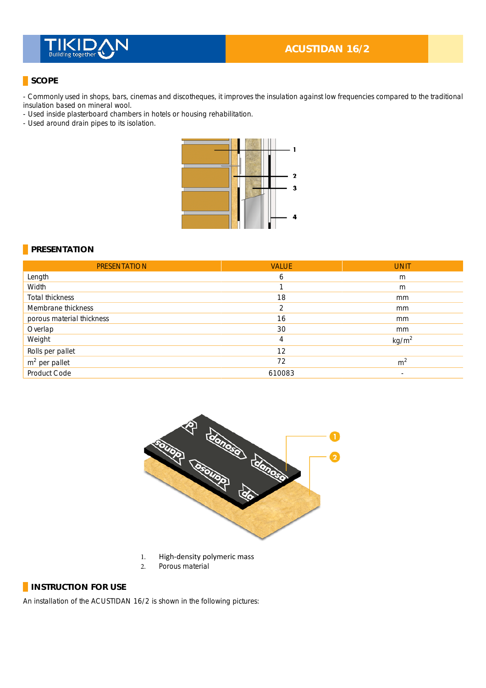

### **ACUSTIDAN 16/2**

### **SCOPE**

- Commonly used in shops, bars, cinemas and discotheques, it improves the insulation against low frequencies compared to the traditional insulation based on mineral wool. \_

- Used inside plasterboard chambers in hotels or housing rehabilitation.

- Used around drain pipes to its isolation.



#### **PRESENTATION**

| <b>PRESENTATION</b>       | <b>VALUE</b> | <b>UNIT</b>       |
|---------------------------|--------------|-------------------|
| Length                    | 6            | m                 |
| Width                     |              | m                 |
| Total thickness           | 18           | mm                |
| Membrane thickness        | 2            | mm                |
| porous material thickness | 16           | mm                |
| Overlap                   | 30           | mm                |
| Weight                    | 4            | kg/m <sup>2</sup> |
| Rolls per pallet          | 12           |                   |
| $m2$ per pallet           | 72           | m <sup>2</sup>    |
| Product Code              | 610083       | $\blacksquare$    |



- 1. High-density polymeric mass
- 2. Porous material

## **INSTRUCTION FOR USE**

An installation of the ACUSTIDAN 16/2 is shown in the following pictures: